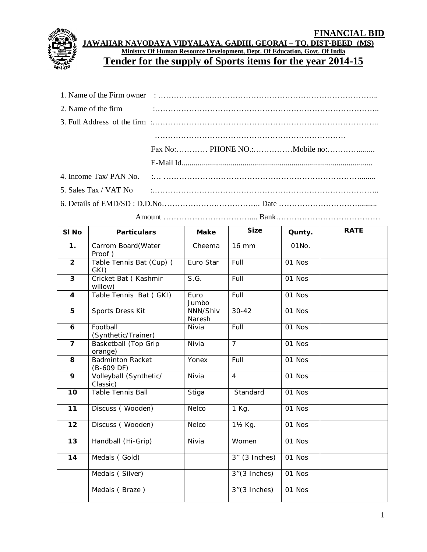

**JAWAHAR NAVODAYA VIDYALAYA, GADHI, GEORAI – TQ, DIST-BEED (MS) Ministry Of Human Resource Development, Dept. Of Education, Govt. Of India Tender for the supply of Sports items for the year 2014-15**

Amount …………………………….... Bank………………………………….

| SI <sub>No</sub>        | <b>Particulars</b>                      | <b>Make</b>        | <b>Size</b>        | Qunty. | <b>RATE</b> |
|-------------------------|-----------------------------------------|--------------------|--------------------|--------|-------------|
| 1.                      | Carrom Board(Water<br>Proof)            | Cheema             | <b>16 mm</b>       | 01No.  |             |
| $\overline{2}$          | Table Tennis Bat (Cup) (<br>GKI)        | Euro Star          | Full               | 01 Nos |             |
| $\overline{\mathbf{3}}$ | Cricket Bat (Kashmir<br>willow)         | S.G.               | Full               | 01 Nos |             |
| $\overline{4}$          | Table Tennis Bat (GKI)                  | Euro<br>Jumbo      | Full               | 01 Nos |             |
| 5                       | Sports Dress Kit                        | NNN/Shiv<br>Naresh | $30 - 42$          | 01 Nos |             |
| 6                       | Football<br>(Synthetic/Trainer)         | Nivia              | Full               | 01 Nos |             |
| $\overline{7}$          | Basketball (Top Grip<br>orange)         | Nivia              | $\overline{7}$     | 01 Nos |             |
| 8                       | <b>Badminton Racket</b><br>$(B-609$ DF) | Yonex              | Full               | 01 Nos |             |
| 9                       | Volleyball (Synthetic/<br>Classic)      | Nivia              | $\overline{4}$     | 01 Nos |             |
| 10                      | Table Tennis Ball                       | Stiga              | Standard           | 01 Nos |             |
| $\overline{11}$         | Discuss (Wooden)                        | Nelco              | $\overline{1}$ Kg. | 01 Nos |             |
| 12                      | Discuss (Wooden)                        | Nelco              | 11/2 Kg.           | 01 Nos |             |
| 13                      | Handball (Hi-Grip)                      | Nivia              | Women              | 01 Nos |             |
| 14                      | Medals (Gold)                           |                    | $3''$ (3 Inches)   | 01 Nos |             |
|                         | Medals (Silver)                         |                    | $3''(3$ Inches)    | 01 Nos |             |
|                         | Medals (Braze)                          |                    | $3''(3$ Inches)    | 01 Nos |             |